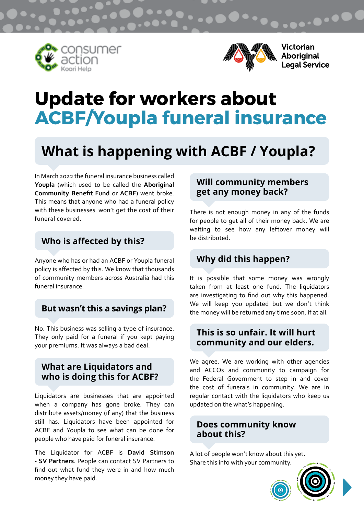





Victorian Aboriginal<br>Legal Service

# **Update for workers about ACBF/Youpla funeral insurance**

## **What is happening with ACBF / Youpla?**

In March 2022 the funeral insurance business called **Youpla** (which used to be called the **Aboriginal Community Benefit Fund** or **ACBF**) went broke. This means that anyone who had a funeral policy with these businesses won't get the cost of their funeral covered.

## **Who is affected by this?**

Anyone who has or had an ACBF or Youpla funeral policy is affected by this. We know that thousands of community members across Australia had this funeral insurance.

#### **But wasn't this a savings plan?**

No. This business was selling a type of insurance. They only paid for a funeral if you kept paying your premiums. It was always a bad deal.

#### **What are Liquidators and who is doing this for ACBF?**

Liquidators are businesses that are appointed when a company has gone broke. They can distribute assets/money (if any) that the business still has. Liquidators have been appointed for ACBF and Youpla to see what can be done for people who have paid for funeral insurance.

The Liquidator for ACBF is **David Stimson - SV Partners**. People can contact SV Partners to find out what fund they were in and how much money they have paid.

#### **Will community members get any money back?**

There is not enough money in any of the funds for people to get all of their money back. We are waiting to see how any leftover money will be distributed.

## **Why did this happen?**

It is possible that some money was wrongly taken from at least one fund. The liquidators are investigating to find out why this happened. We will keep you updated but we don't think the money will be returned any time soon, if at all.

#### **This is so unfair. It will hurt community and our elders.**

We agree. We are working with other agencies and ACCOs and community to campaign for the Federal Government to step in and cover the cost of funerals in community. We are in regular contact with the liquidators who keep us updated on the what's happening.

### **Does community know about this?**

A lot of people won't know about this yet. Share this info with your community.